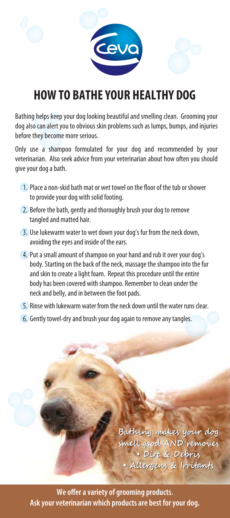

## **HOW TO BATHE YOUR HEAI THY DOG**

Bathing helps keep your dog looking beautiful and smelling clean. Grooming your dog also can alert you to obvious skin problems such as lumps, bumps, and injuries before they become more serious.

Only use a shampoo formulated for your dog and recommended by your veterinarian. Also seek advice from your veterinarian about how often you should give your dog a bath.

- 1. Place a non-skid bath mat or wet towel on the floor of the tub or shower to provide your dog with solid footing.
- 2. Before the bath, gently and thoroughly brush your dog to remove tangled and matted hair.
- 3. Use lukewarm water to wet down your dog's fur from the neck down, avoiding the eyes and inside of the ears.
- 4. Put a small amount of shampoo on your hand and rub it over your dog's body. Starting on the back of the neck, massage the shampoo into the fur and skin to create a light foam. Repeat this procedure until the entire body has been covered with shampoo. Remember to clean under the neck and belly, and in between the foot pads.
- 5. Rinse with lukewarm water from the neck down until the water runs clear.
- 6. Gently towel-dry and brush your dog again to remove any tangles.

Bathing makes your dog smell good AND removes · Dirt & Debris · Allergens & Irritants

We offer a variety of grooming products. Ask your veterinarian which products are best for your dog.